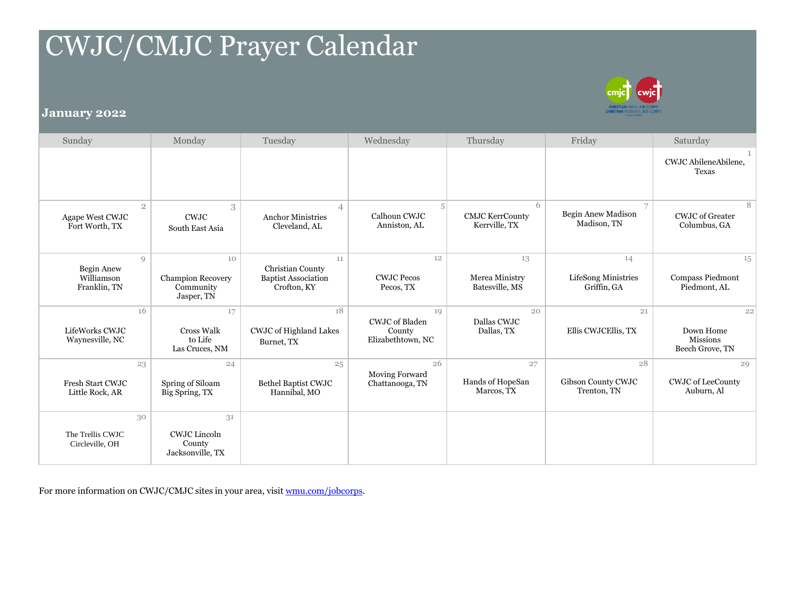## CWJC/CMJC Prayer Calendar



## **January 2022**

| Sunday                                              | Monday                                                    | Tuesday                                                             | Wednesday                                                  | Thursday                                     | Friday                                   | Saturday                                              |
|-----------------------------------------------------|-----------------------------------------------------------|---------------------------------------------------------------------|------------------------------------------------------------|----------------------------------------------|------------------------------------------|-------------------------------------------------------|
|                                                     |                                                           |                                                                     |                                                            |                                              |                                          | CWJC AbileneAbilene.<br>Texas                         |
| $\overline{2}$<br>Agape West CWJC<br>Fort Worth, TX | 3<br><b>CWJC</b><br>South East Asia                       | $\overline{4}$<br><b>Anchor Ministries</b><br>Cleveland, AL         | 5 <sup>1</sup><br>Calhoun CWJC<br>Anniston, AL             | 6<br><b>CMJC KerrCounty</b><br>Kerrville, TX | 7<br>Begin Anew Madison<br>Madison, TN   | 8<br><b>CWJC</b> of Greater<br>Columbus, GA           |
| Q<br>Begin Anew<br>Williamson<br>Franklin, TN       | 10<br><b>Champion Recovery</b><br>Community<br>Jasper, TN | 11<br>Christian County<br><b>Baptist Association</b><br>Crofton, KY | 12<br><b>CWJC Pecos</b><br>Pecos, TX                       | 13<br>Merea Ministry<br>Batesville, MS       | 14<br>LifeSong Ministries<br>Griffin, GA | 15<br><b>Compass Piedmont</b><br>Piedmont, AL         |
| 16<br>LifeWorks CWJC<br>Waynesville, NC             | 17<br>Cross Walk<br>to Life<br>Las Cruces, NM             | 18<br>CWJC of Highland Lakes<br>Burnet, TX                          | 19<br><b>CWJC</b> of Bladen<br>County<br>Elizabethtown, NC | 20<br>Dallas CWJC<br>Dallas, TX              | 21<br>Ellis CWJCEllis, TX                | 22<br>Down Home<br><b>Missions</b><br>Beech Grove, TN |
| 23<br><b>Fresh Start CWJC</b><br>Little Rock, AR    | 24<br>Spring of Siloam<br>Big Spring, TX                  | 25<br>Bethel Baptist CWJC<br>Hannibal, MO                           | 26<br>Moving Forward<br>Chattanooga, TN                    | 27<br>Hands of HopeSan<br>Marcos, TX         | 28<br>Gibson County CWJC<br>Trenton, TN  | 29<br><b>CWJC</b> of LeeCounty<br>Auburn, Al          |
| 30<br>The Trellis CWJC<br>Circleville, OH           | 31<br><b>CWJC</b> Lincoln<br>County<br>Jacksonville, TX   |                                                                     |                                                            |                                              |                                          |                                                       |

For more information on CWJC/CMJC sites in your area, visi[t wmu.com/jobcorps.](http://www.wmu.com/jobcorps)